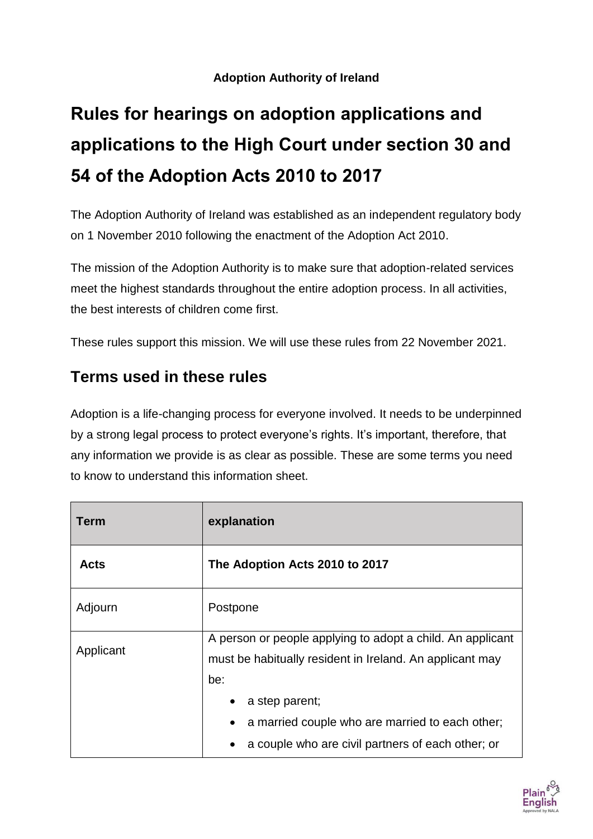#### **Adoption Authority of Ireland**

# **Rules for hearings on adoption applications and applications to the High Court under section 30 and 54 of the Adoption Acts 2010 to 2017**

The Adoption Authority of Ireland was established as an independent regulatory body on 1 November 2010 following the enactment of the Adoption Act 2010.

The mission of the Adoption Authority is to make sure that adoption-related services meet the highest standards throughout the entire adoption process. In all activities, the best interests of children come first.

These rules support this mission. We will use these rules from 22 November 2021.

### **Terms used in these rules**

Adoption is a life-changing process for everyone involved. It needs to be underpinned by a strong legal process to protect everyone's rights. It's important, therefore, that any information we provide is as clear as possible. These are some terms you need to know to understand this information sheet.

| <b>Term</b> | explanation                                                                                                                         |
|-------------|-------------------------------------------------------------------------------------------------------------------------------------|
| <b>Acts</b> | The Adoption Acts 2010 to 2017                                                                                                      |
| Adjourn     | Postpone                                                                                                                            |
| Applicant   | A person or people applying to adopt a child. An applicant<br>must be habitually resident in Ireland. An applicant may<br>be:       |
|             | a step parent;<br>a married couple who are married to each other;<br>$\bullet$<br>a couple who are civil partners of each other; or |

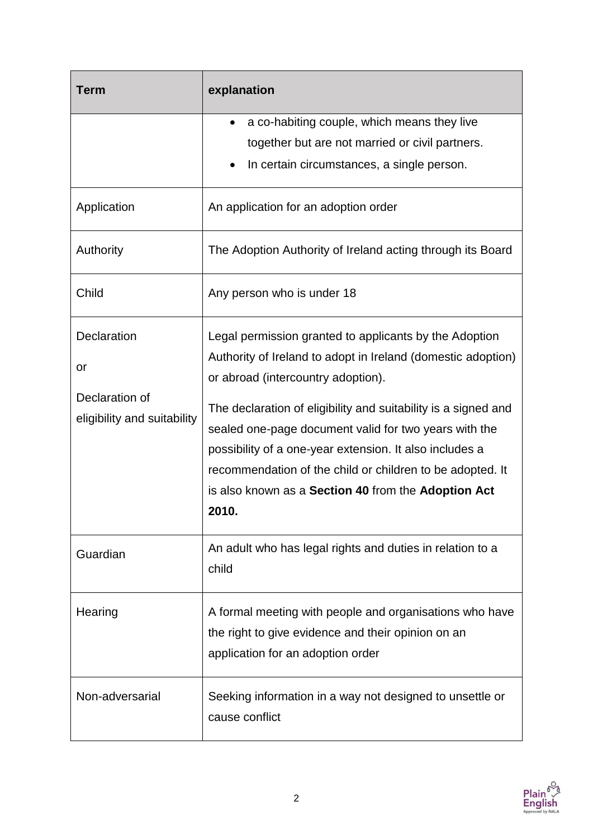| Term                                                               | explanation                                                                                                                                                                                                                                                                                                                                                                                                                                                                     |
|--------------------------------------------------------------------|---------------------------------------------------------------------------------------------------------------------------------------------------------------------------------------------------------------------------------------------------------------------------------------------------------------------------------------------------------------------------------------------------------------------------------------------------------------------------------|
|                                                                    | a co-habiting couple, which means they live<br>٠<br>together but are not married or civil partners.<br>In certain circumstances, a single person.                                                                                                                                                                                                                                                                                                                               |
| Application                                                        | An application for an adoption order                                                                                                                                                                                                                                                                                                                                                                                                                                            |
| Authority                                                          | The Adoption Authority of Ireland acting through its Board                                                                                                                                                                                                                                                                                                                                                                                                                      |
| Child                                                              | Any person who is under 18                                                                                                                                                                                                                                                                                                                                                                                                                                                      |
| Declaration<br>or<br>Declaration of<br>eligibility and suitability | Legal permission granted to applicants by the Adoption<br>Authority of Ireland to adopt in Ireland (domestic adoption)<br>or abroad (intercountry adoption).<br>The declaration of eligibility and suitability is a signed and<br>sealed one-page document valid for two years with the<br>possibility of a one-year extension. It also includes a<br>recommendation of the child or children to be adopted. It<br>is also known as a Section 40 from the Adoption Act<br>2010. |
| Guardian                                                           | An adult who has legal rights and duties in relation to a<br>child                                                                                                                                                                                                                                                                                                                                                                                                              |
| Hearing                                                            | A formal meeting with people and organisations who have<br>the right to give evidence and their opinion on an<br>application for an adoption order                                                                                                                                                                                                                                                                                                                              |
| Non-adversarial                                                    | Seeking information in a way not designed to unsettle or<br>cause conflict                                                                                                                                                                                                                                                                                                                                                                                                      |

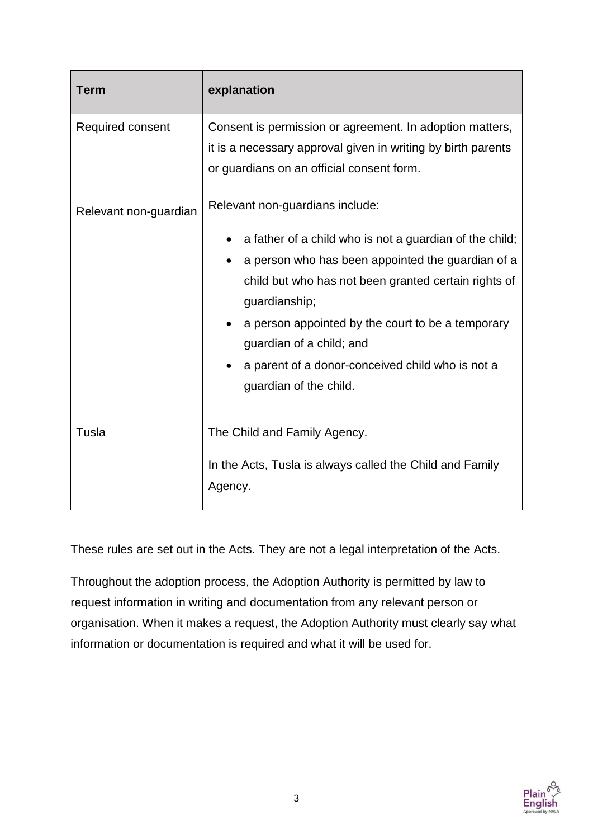| <b>Term</b>           | explanation                                                                                                                                                                                                                                                                                                                                                                             |
|-----------------------|-----------------------------------------------------------------------------------------------------------------------------------------------------------------------------------------------------------------------------------------------------------------------------------------------------------------------------------------------------------------------------------------|
| Required consent      | Consent is permission or agreement. In adoption matters,<br>it is a necessary approval given in writing by birth parents<br>or guardians on an official consent form.                                                                                                                                                                                                                   |
| Relevant non-guardian | Relevant non-guardians include:<br>a father of a child who is not a guardian of the child;<br>a person who has been appointed the guardian of a<br>child but who has not been granted certain rights of<br>guardianship;<br>a person appointed by the court to be a temporary<br>guardian of a child; and<br>a parent of a donor-conceived child who is not a<br>guardian of the child. |
| Tusla                 | The Child and Family Agency.<br>In the Acts, Tusla is always called the Child and Family<br>Agency.                                                                                                                                                                                                                                                                                     |

These rules are set out in the Acts. They are not a legal interpretation of the Acts.

Throughout the adoption process, the Adoption Authority is permitted by law to request information in writing and documentation from any relevant person or organisation. When it makes a request, the Adoption Authority must clearly say what information or documentation is required and what it will be used for.

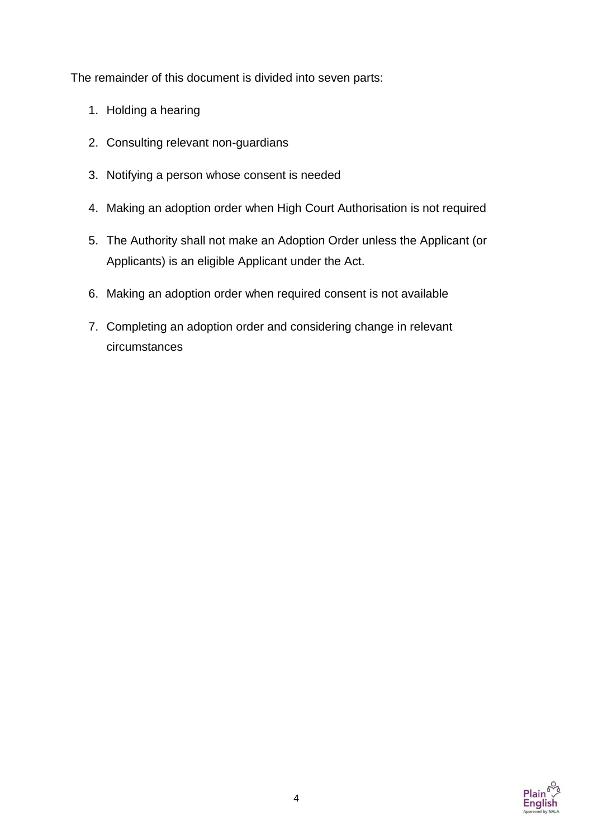The remainder of this document is divided into seven parts:

- 1. Holding a hearing
- 2. Consulting relevant non-guardians
- 3. Notifying a person whose consent is needed
- 4. Making an adoption order when High Court Authorisation is not required
- 5. The Authority shall not make an Adoption Order unless the Applicant (or Applicants) is an eligible Applicant under the Act.
- 6. Making an adoption order when required consent is not available
- 7. Completing an adoption order and considering change in relevant circumstances

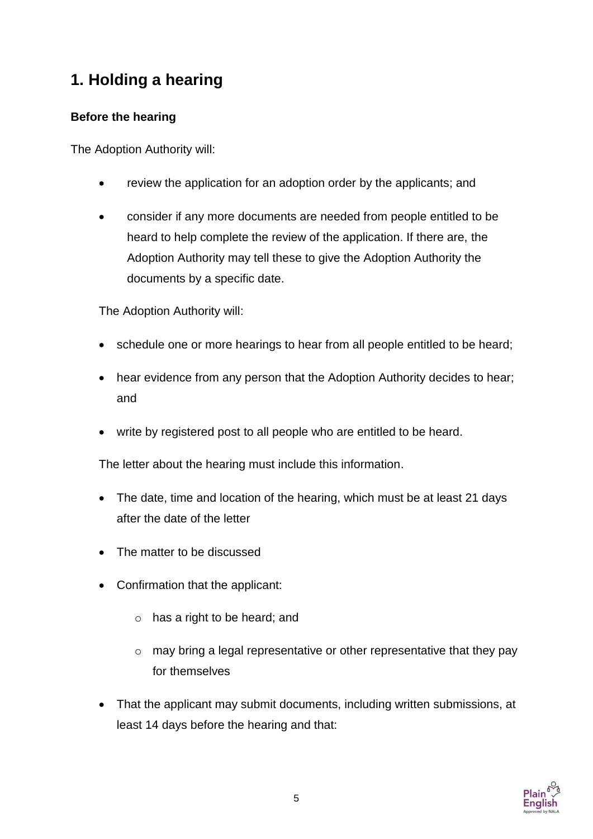## **1. Holding a hearing**

#### **Before the hearing**

The Adoption Authority will:

- review the application for an adoption order by the applicants; and
- consider if any more documents are needed from people entitled to be heard to help complete the review of the application. If there are, the Adoption Authority may tell these to give the Adoption Authority the documents by a specific date.

The Adoption Authority will:

- schedule one or more hearings to hear from all people entitled to be heard:
- hear evidence from any person that the Adoption Authority decides to hear; and
- write by registered post to all people who are entitled to be heard.

The letter about the hearing must include this information.

- The date, time and location of the hearing, which must be at least 21 days after the date of the letter
- The matter to be discussed
- Confirmation that the applicant:
	- o has a right to be heard; and
	- o may bring a legal representative or other representative that they pay for themselves
- That the applicant may submit documents, including written submissions, at least 14 days before the hearing and that:

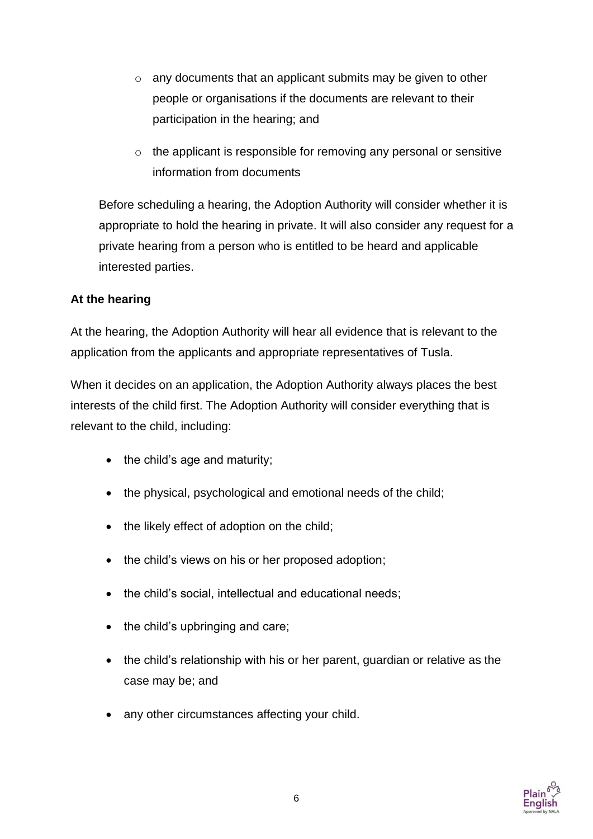- o any documents that an applicant submits may be given to other people or organisations if the documents are relevant to their participation in the hearing; and
- $\circ$  the applicant is responsible for removing any personal or sensitive information from documents

Before scheduling a hearing, the Adoption Authority will consider whether it is appropriate to hold the hearing in private. It will also consider any request for a private hearing from a person who is entitled to be heard and applicable interested parties.

#### **At the hearing**

At the hearing, the Adoption Authority will hear all evidence that is relevant to the application from the applicants and appropriate representatives of Tusla.

When it decides on an application, the Adoption Authority always places the best interests of the child first. The Adoption Authority will consider everything that is relevant to the child, including:

- $\bullet$  the child's age and maturity;
- the physical, psychological and emotional needs of the child;
- the likely effect of adoption on the child;
- the child's views on his or her proposed adoption;
- the child's social, intellectual and educational needs;
- $\bullet$  the child's upbringing and care;
- the child's relationship with his or her parent, guardian or relative as the case may be; and
- any other circumstances affecting your child.

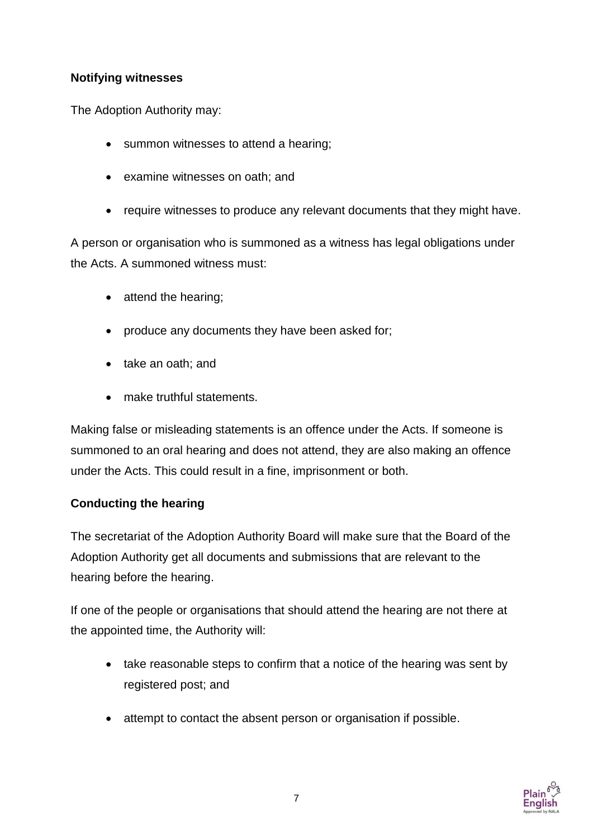#### **Notifying witnesses**

The Adoption Authority may:

- summon witnesses to attend a hearing;
- examine witnesses on oath; and
- require witnesses to produce any relevant documents that they might have.

A person or organisation who is summoned as a witness has legal obligations under the Acts. A summoned witness must:

- $\bullet$  attend the hearing;
- produce any documents they have been asked for;
- take an oath; and
- make truthful statements.

Making false or misleading statements is an offence under the Acts. If someone is summoned to an oral hearing and does not attend, they are also making an offence under the Acts. This could result in a fine, imprisonment or both.

#### **Conducting the hearing**

The secretariat of the Adoption Authority Board will make sure that the Board of the Adoption Authority get all documents and submissions that are relevant to the hearing before the hearing.

If one of the people or organisations that should attend the hearing are not there at the appointed time, the Authority will:

- take reasonable steps to confirm that a notice of the hearing was sent by registered post; and
- attempt to contact the absent person or organisation if possible.

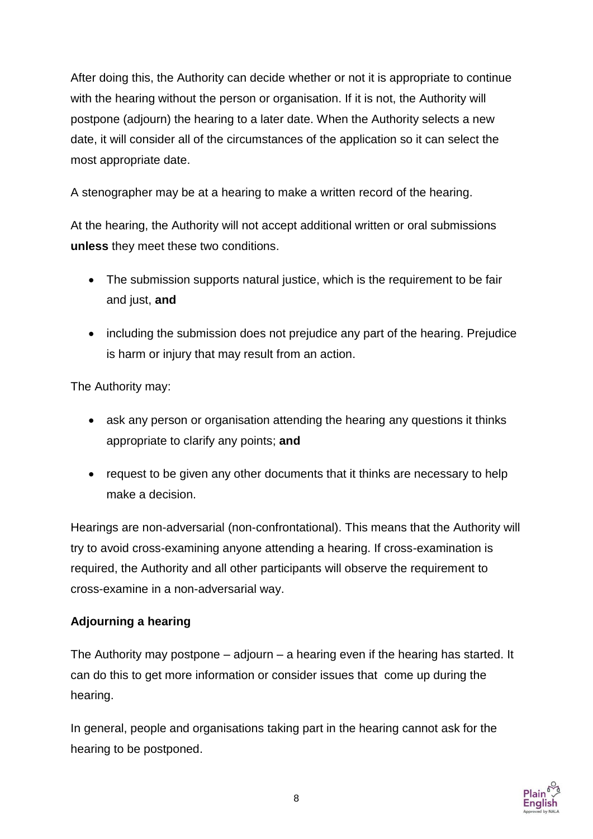After doing this, the Authority can decide whether or not it is appropriate to continue with the hearing without the person or organisation. If it is not, the Authority will postpone (adjourn) the hearing to a later date. When the Authority selects a new date, it will consider all of the circumstances of the application so it can select the most appropriate date.

A stenographer may be at a hearing to make a written record of the hearing.

At the hearing, the Authority will not accept additional written or oral submissions **unless** they meet these two conditions.

- The submission supports natural justice, which is the requirement to be fair and just, **and**
- including the submission does not prejudice any part of the hearing. Prejudice is harm or injury that may result from an action.

The Authority may:

- ask any person or organisation attending the hearing any questions it thinks appropriate to clarify any points; **and**
- request to be given any other documents that it thinks are necessary to help make a decision.

Hearings are non-adversarial (non-confrontational). This means that the Authority will try to avoid cross-examining anyone attending a hearing. If cross-examination is required, the Authority and all other participants will observe the requirement to cross-examine in a non-adversarial way.

#### **Adjourning a hearing**

The Authority may postpone – adjourn – a hearing even if the hearing has started. It can do this to get more information or consider issues that come up during the hearing.

In general, people and organisations taking part in the hearing cannot ask for the hearing to be postponed.

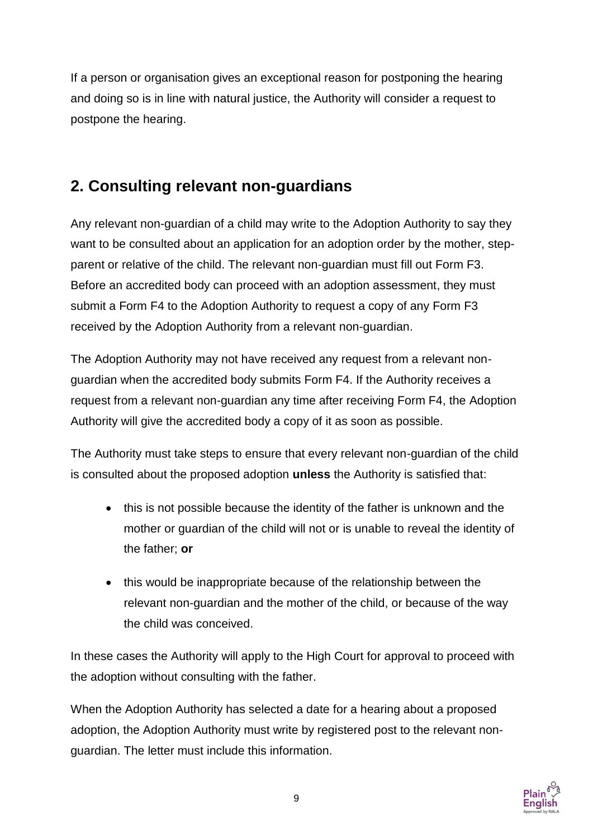If a person or organisation gives an exceptional reason for postponing the hearing and doing so is in line with natural justice, the Authority will consider a request to postpone the hearing.

## **2. Consulting relevant non-guardians**

Any relevant non-guardian of a child may write to the Adoption Authority to say they want to be consulted about an application for an adoption order by the mother, stepparent or relative of the child. The relevant non-guardian must fill out Form F3. Before an accredited body can proceed with an adoption assessment, they must submit a Form F4 to the Adoption Authority to request a copy of any Form F3 received by the Adoption Authority from a relevant non-guardian.

The Adoption Authority may not have received any request from a relevant nonguardian when the accredited body submits Form F4. If the Authority receives a request from a relevant non-guardian any time after receiving Form F4, the Adoption Authority will give the accredited body a copy of it as soon as possible.

The Authority must take steps to ensure that every relevant non-guardian of the child is consulted about the proposed adoption **unless** the Authority is satisfied that:

- this is not possible because the identity of the father is unknown and the mother or guardian of the child will not or is unable to reveal the identity of the father; **or**
- this would be inappropriate because of the relationship between the relevant non-guardian and the mother of the child, or because of the way the child was conceived.

In these cases the Authority will apply to the High Court for approval to proceed with the adoption without consulting with the father.

When the Adoption Authority has selected a date for a hearing about a proposed adoption, the Adoption Authority must write by registered post to the relevant nonguardian. The letter must include this information.

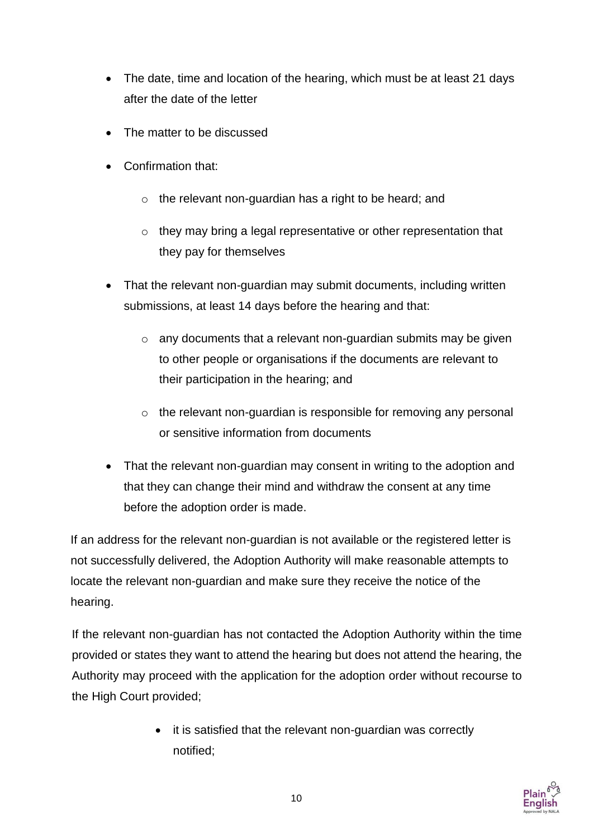- The date, time and location of the hearing, which must be at least 21 days after the date of the letter
- The matter to be discussed
- Confirmation that:
	- o the relevant non-guardian has a right to be heard; and
	- o they may bring a legal representative or other representation that they pay for themselves
- That the relevant non-guardian may submit documents, including written submissions, at least 14 days before the hearing and that:
	- o any documents that a relevant non-guardian submits may be given to other people or organisations if the documents are relevant to their participation in the hearing; and
	- o the relevant non-guardian is responsible for removing any personal or sensitive information from documents
- That the relevant non-guardian may consent in writing to the adoption and that they can change their mind and withdraw the consent at any time before the adoption order is made.

If an address for the relevant non-guardian is not available or the registered letter is not successfully delivered, the Adoption Authority will make reasonable attempts to locate the relevant non-guardian and make sure they receive the notice of the hearing.

If the relevant non-guardian has not contacted the Adoption Authority within the time provided or states they want to attend the hearing but does not attend the hearing, the Authority may proceed with the application for the adoption order without recourse to the High Court provided;

> • it is satisfied that the relevant non-guardian was correctly notified;

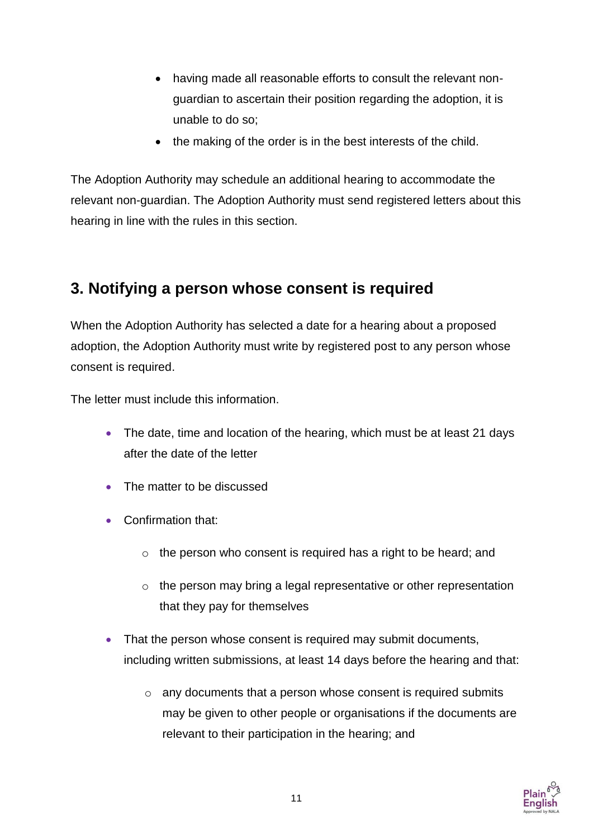- having made all reasonable efforts to consult the relevant nonguardian to ascertain their position regarding the adoption, it is unable to do so;
- the making of the order is in the best interests of the child.

The Adoption Authority may schedule an additional hearing to accommodate the relevant non-guardian. The Adoption Authority must send registered letters about this hearing in line with the rules in this section.

### **3. Notifying a person whose consent is required**

When the Adoption Authority has selected a date for a hearing about a proposed adoption, the Adoption Authority must write by registered post to any person whose consent is required.

The letter must include this information.

- The date, time and location of the hearing, which must be at least 21 days after the date of the letter
- The matter to be discussed
- Confirmation that:
	- $\circ$  the person who consent is required has a right to be heard; and
	- $\circ$  the person may bring a legal representative or other representation that they pay for themselves
- That the person whose consent is required may submit documents, including written submissions, at least 14 days before the hearing and that:
	- o any documents that a person whose consent is required submits may be given to other people or organisations if the documents are relevant to their participation in the hearing; and

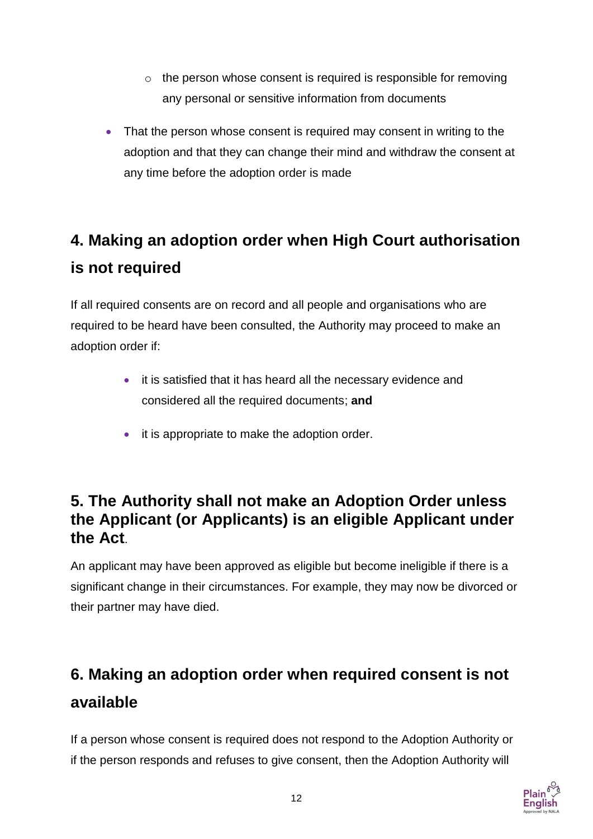- o the person whose consent is required is responsible for removing any personal or sensitive information from documents
- That the person whose consent is required may consent in writing to the adoption and that they can change their mind and withdraw the consent at any time before the adoption order is made

## **4. Making an adoption order when High Court authorisation is not required**

If all required consents are on record and all people and organisations who are required to be heard have been consulted, the Authority may proceed to make an adoption order if:

- it is satisfied that it has heard all the necessary evidence and considered all the required documents; **and**
- it is appropriate to make the adoption order.

### **5. The Authority shall not make an Adoption Order unless the Applicant (or Applicants) is an eligible Applicant under the Act**.

An applicant may have been approved as eligible but become ineligible if there is a significant change in their circumstances. For example, they may now be divorced or their partner may have died.

## **6. Making an adoption order when required consent is not available**

If a person whose consent is required does not respond to the Adoption Authority or if the person responds and refuses to give consent, then the Adoption Authority will

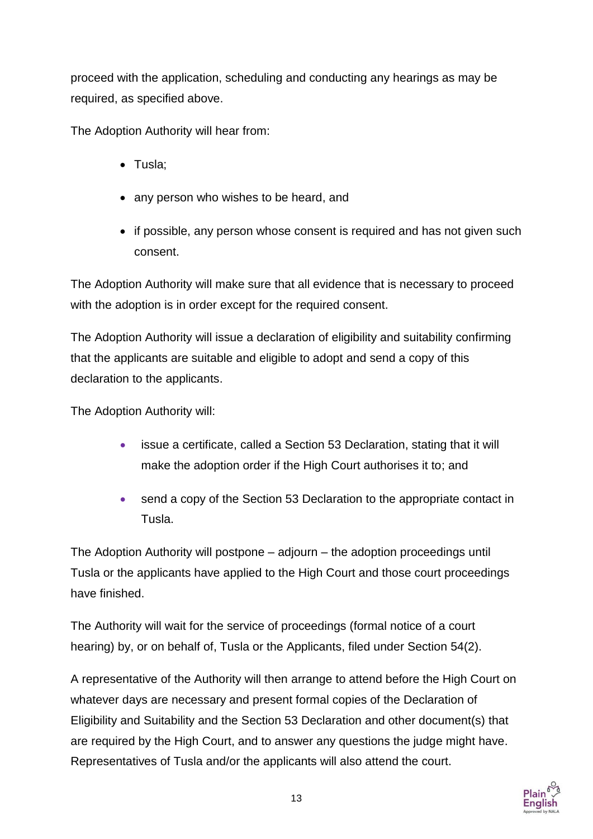proceed with the application, scheduling and conducting any hearings as may be required, as specified above.

The Adoption Authority will hear from:

- Tusla:
- any person who wishes to be heard, and
- if possible, any person whose consent is required and has not given such consent.

The Adoption Authority will make sure that all evidence that is necessary to proceed with the adoption is in order except for the required consent.

The Adoption Authority will issue a declaration of eligibility and suitability confirming that the applicants are suitable and eligible to adopt and send a copy of this declaration to the applicants.

The Adoption Authority will:

- issue a certificate, called a Section 53 Declaration, stating that it will make the adoption order if the High Court authorises it to; and
- send a copy of the Section 53 Declaration to the appropriate contact in Tusla.

The Adoption Authority will postpone – adjourn – the adoption proceedings until Tusla or the applicants have applied to the High Court and those court proceedings have finished.

The Authority will wait for the service of proceedings (formal notice of a court hearing) by, or on behalf of, Tusla or the Applicants, filed under Section 54(2).

A representative of the Authority will then arrange to attend before the High Court on whatever days are necessary and present formal copies of the Declaration of Eligibility and Suitability and the Section 53 Declaration and other document(s) that are required by the High Court, and to answer any questions the judge might have. Representatives of Tusla and/or the applicants will also attend the court.

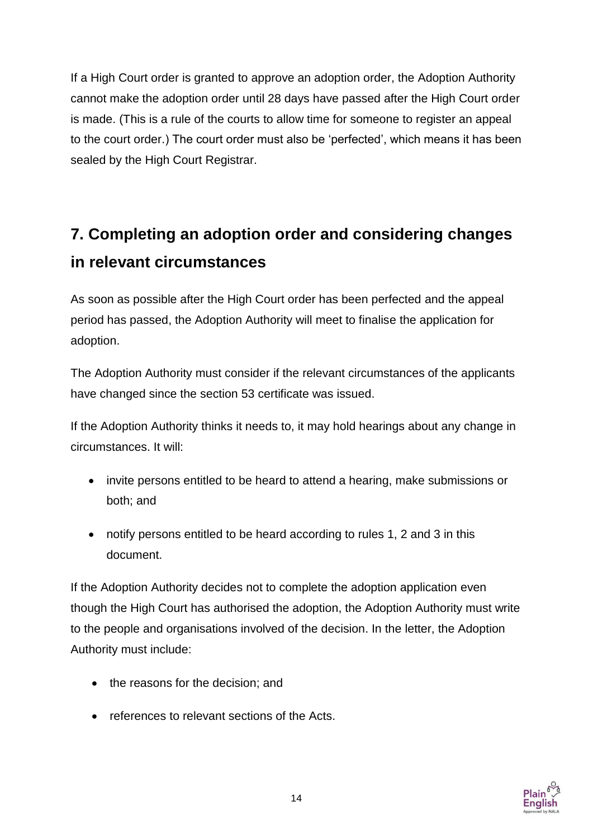If a High Court order is granted to approve an adoption order, the Adoption Authority cannot make the adoption order until 28 days have passed after the High Court order is made. (This is a rule of the courts to allow time for someone to register an appeal to the court order.) The court order must also be 'perfected', which means it has been sealed by the High Court Registrar.

## **7. Completing an adoption order and considering changes in relevant circumstances**

As soon as possible after the High Court order has been perfected and the appeal period has passed, the Adoption Authority will meet to finalise the application for adoption.

The Adoption Authority must consider if the relevant circumstances of the applicants have changed since the section 53 certificate was issued.

If the Adoption Authority thinks it needs to, it may hold hearings about any change in circumstances. It will:

- invite persons entitled to be heard to attend a hearing, make submissions or both; and
- notify persons entitled to be heard according to rules 1, 2 and 3 in this document.

If the Adoption Authority decides not to complete the adoption application even though the High Court has authorised the adoption, the Adoption Authority must write to the people and organisations involved of the decision. In the letter, the Adoption Authority must include:

- the reasons for the decision; and
- references to relevant sections of the Acts.